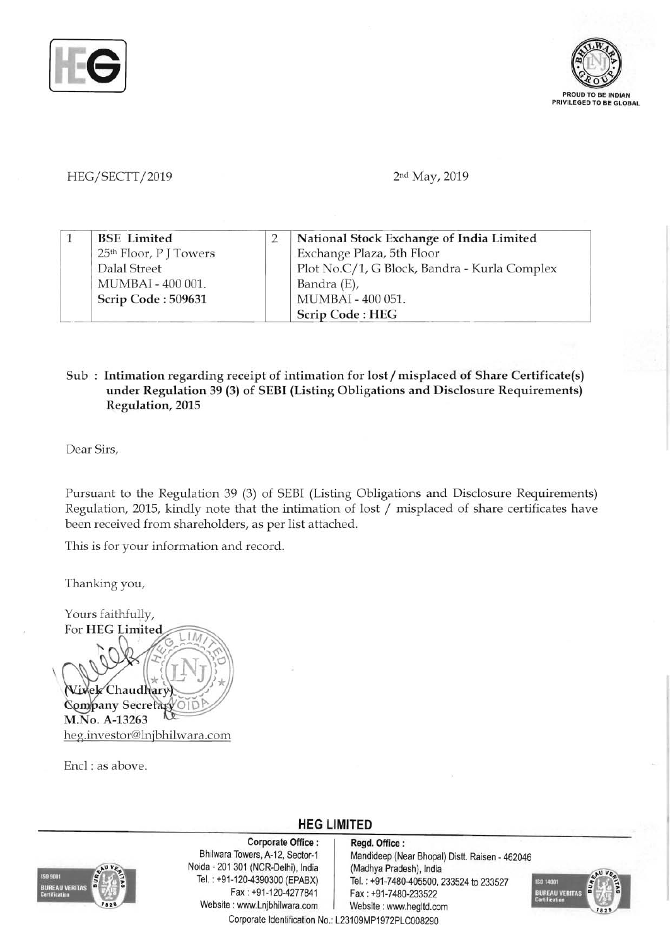



## HEG/SECTT/2019 2nd May, 2019

|  | <b>BSE</b> Limited                 | National Stock Exchange of India Limited     |
|--|------------------------------------|----------------------------------------------|
|  | 25 <sup>th</sup> Floor, P J Towers | Exchange Plaza, 5th Floor                    |
|  | Dalal Street                       | Plot No.C/1, G Block, Bandra - Kurla Complex |
|  | MUMBAI - 400 001.                  | Bandra (E),                                  |
|  | Scrip Code: 509631                 | MUMBAI - 400 051.                            |
|  |                                    | Scrip Code: HEG                              |

## Sub: Intimation regarding receipt of intimation for lost / misplaced of Share Certificate(s) under Regulation 39 (3) of SEBI (Listing Obligations and Disclosure Requirements) Regulation, 2015

Dear Sirs,

Pursuant to the Regulation 39 (3) of SEBI (Listing Obligations and Disclosure Requirements) Regulation, 2015, kindly note that the intimation of lost / misplaced of share certificates have been received from shareholders, as per list attached.

This is for your information and record.

Thanking you,

Yours faithfully, For HEG Limited Vixek Chaudhary **Company Secretary** M.No. A-13263 heg.investor@lnjbhilwara.com

Encl : as above.



Corporate Office: Regd. Office:<br>Bhilwara Towers, A-12, Sector-1 Mandideep (Ne Noida - 201 301 (NCR-Delhi), India Website : www.Lnjbhilwara.com | Website : www.hegltd.com

Mandideep (Near Bhopal) Distt. Raisen - 462046<br>(Madhya Pradesh), India Tel. : +91-120-4390300 (EPABX)<br>Fax : +91-120-4277841 | Fax : +91-7480-233522 Fax: +91-7480-233522



Corporate Identification No.: L23109MP1972PLC008290

**HEG LIMITED**